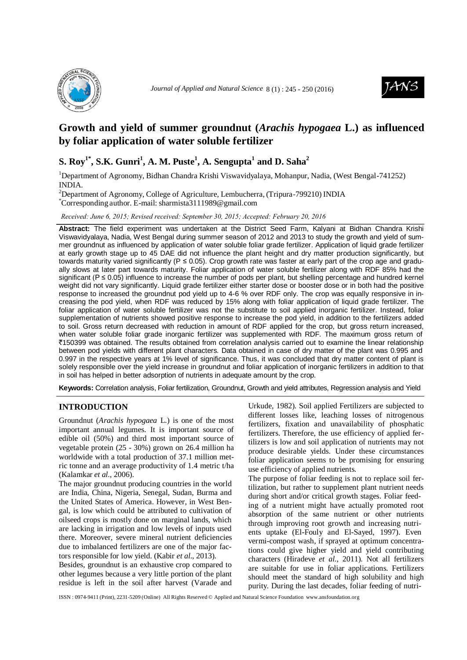



# **Growth and yield of summer groundnut (***Arachis hypogaea* **L.) as influenced by foliar application of water soluble fertilizer**

# **S. Roy1\* , S.K. Gunri 1 , A. M. Puste 1 , A. Sengupta<sup>1</sup> and D. Saha<sup>2</sup>**

<sup>1</sup>Department of Agronomy, Bidhan Chandra Krishi Viswavidyalaya, Mohanpur, Nadia, (West Bengal-741252) INDIA.

<sup>2</sup>Department of Agronomy, College of Agriculture, Lembucherra, (Tripura-799210) INDIA \*Corresponding author. E-mail: [sharmista3111989@gmail.com](mailto:sharmista3111989@gmail.com)

*Received: June 6, 2015; Revised received: September 30, 2015; Accepted: February 20, 2016*

**Abstract:** The field experiment was undertaken at the District Seed Farm, Kalyani at Bidhan Chandra Krishi Viswavidyalaya, Nadia, West Bengal during summer season of 2012 and 2013 to study the growth and yield of summer groundnut as influenced by application of water soluble foliar grade fertilizer. Application of liquid grade fertilizer at early growth stage up to 45 DAE did not influence the plant height and dry matter production significantly, but towards maturity varied significantly ( $P \le 0.05$ ). Crop growth rate was faster at early part of the crop age and gradually slows at later part towards maturity. Foliar application of water soluble fertilizer along with RDF 85% had the significant (P ≤ 0.05) influence to increase the number of pods per plant, but shelling percentage and hundred kernel weight did not vary significantly. Liquid grade fertilizer either starter dose or booster dose or in both had the positive response to increased the groundnut pod yield up to 4-6 % over RDF only. The crop was equally responsive in increasing the pod yield, when RDF was reduced by 15% along with foliar application of liquid grade fertilizer. The foliar application of water soluble fertilizer was not the substitute to soil applied inorganic fertilizer. Instead, foliar supplementation of nutrients showed positive response to increase the pod yield, in addition to the fertilizers added to soil. Gross return decreased with reduction in amount of RDF applied for the crop, but gross return increased, when water soluble foliar grade inorganic fertilizer was supplemented with RDF. The maximum gross return of `150399 was obtained. The results obtained from correlation analysis carried out to examine the linear relationship between pod yields with different plant characters. Data obtained in case of dry matter of the plant was 0.995 and 0.997 in the respective years at 1% level of significance. Thus, it was concluded that dry matter content of plant is solely responsible over the yield increase in groundnut and foliar application of inorganic fertilizers in addition to that in soil has helped in better adsorption of nutrients in adequate amount by the crop.

**Keywords:** Correlation analysis, Foliar fertilization, Groundnut, Growth and yield attributes, Regression analysis and Yield

## **INTRODUCTION**

Groundnut (*Arachis hypogaea* L.) is one of the most important annual legumes. It is important source of edible oil (50%) and third most important source of vegetable protein (25 - 30%) grown on 26.4 million ha worldwide with a total production of 37.1 million metric tonne and an average productivity of 1.4 metric t/ha (Kalamkar *et al.*, 2006).

The major groundnut producing countries in the world are India, China, Nigeria, Senegal, Sudan, Burma and the United States of America. However, in West Bengal, is low which could be attributed to cultivation of oilseed crops is mostly done on marginal lands, which are lacking in irrigation and low levels of inputs used there. Moreover, severe mineral nutrient deficiencies due to imbalanced fertilizers are one of the major factors responsible for low yield. (Kabir *et al*., 2013).

Besides, groundnut is an exhaustive crop compared to other legumes because a very little portion of the plant residue is left in the soil after harvest (Varade and

Urkude, 1982). Soil applied Fertilizers are subjected to different losses like, leaching losses of nitrogenous fertilizers, fixation and unavailability of phosphatic fertilizers. Therefore, the use efficiency of applied fertilizers is low and soil application of nutrients may not produce desirable yields. Under these circumstances foliar application seems to be promising for ensuring use efficiency of applied nutrients.

The purpose of foliar feeding is not to replace soil fertilization, but rather to supplement plant nutrient needs during short and/or critical growth stages. Foliar feeding of a nutrient might have actually promoted root absorption of the same nutrient or other nutrients through improving root growth and increasing nutrients uptake (El-Fouly and El-Sayed, 1997). Even vermi-compost wash, if sprayed at optimum concentrations could give higher yield and yield contributing characters (Hiradeve *et al.*, 2011). Not all fertilizers are suitable for use in foliar applications. Fertilizers should meet the standard of high solubility and high purity. During the last decades, foliar feeding of nutri-

ISSN : 0974-9411 (Print), 2231-5209 (Online) All Rights Reserved © Applied and Natural Science Foundation [www.ansfoundation.org](http://www.ansfoundation.org/)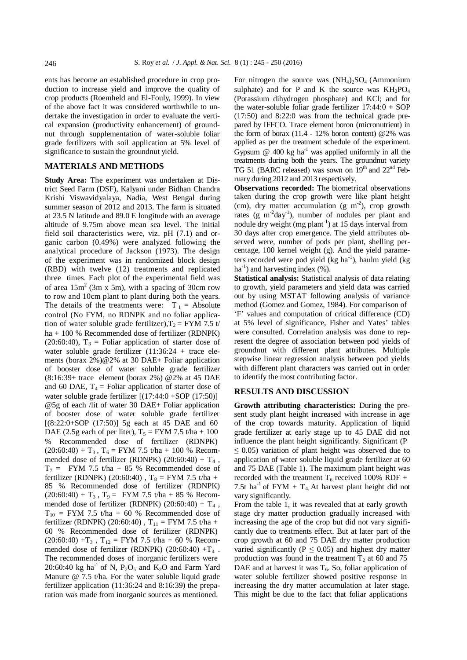ents has become an established procedure in crop production to increase yield and improve the quality of crop products (Roemheld and El-Fouly, 1999). In view of the above fact it was considered worthwhile to undertake the investigation in order to evaluate the vertical expansion (productivity enhancement) of groundnut through supplementation of water-soluble foliar grade fertilizers with soil application at 5% level of significance to sustain the groundnut yield.

### **MATERIALS AND METHODS**

**Study Area:** The experiment was undertaken at District Seed Farm (DSF), Kalyani under Bidhan Chandra Krishi Viswavidyalaya, Nadia, West Bengal during summer season of 2012 and 2013. The farm is situated at 23.5 N latitude and 89.0 E longitude with an average altitude of 9.75m above mean sea level. The initial field soil characteristics were, viz. pH (7.1) and organic carbon (0.49%) were analyzed following the analytical procedure of Jackson (1973). The design of the experiment was in randomized block design (RBD) with twelve (12) treatments and replicated three times. Each plot of the experimental field was of area  $15m^2$  (3m x 5m), with a spacing of 30cm row to row and 10cm plant to plant during both the years. The details of the treatments were:  $T_1 =$  Absolute control (No FYM, no RDNPK and no foliar application of water soluble grade fertilizer),  $T_2$  = FYM 7.5 t/ ha + 100 % Recommended dose of fertilizer (RDNPK) (20:60:40),  $T_3$  = Foliar application of starter dose of water soluble grade fertilizer  $(11:36:24 + \text{trace}$  elements (borax [2%\)@2%](mailto:@2%25) at 30 DAE+ Foliar application of booster dose of water soluble grade fertilizer (8:16:39+ trace element (borax 2%) [@2%](mailto:@2%25) at 45 DAE and 60 DAE,  $T_4$  = Foliar application of starter dose of water soluble grade fertilizer [(17:44:0 +SOP (17:50)] [@5g](mailto:@5g) of each /lit of water 30 DAE+ Foliar application of booster dose of water soluble grade fertilizer [(8:22:0+SOP (17:50)] 5g each at 45 DAE and 60 DAE (2.5g each of per liter),  $T_5 =$  FYM 7.5 t/ha + 100 % Recommended dose of fertilizer (RDNPK)  $(20:60:40) + T_3$ ,  $T_6$  = FYM 7.5 t/ha + 100 % Recommended dose of fertilizer (RDNPK)  $(20:60:40) + T_4$ ,  $T_7$  = FYM 7.5 t/ha + 85 % Recommended dose of fertilizer (RDNPK) (20:60:40),  $T_8 =$  FYM 7.5 t/ha + 85 % Recommended dose of fertilizer (RDNPK)  $(20:60:40) + T_3$ ,  $T_9 = FYM$  7.5 t/ha + 85 % Recommended dose of fertilizer (RDNPK)  $(20:60:40) + T_4$ ,  $T_{10}$  = FYM 7.5 t/ha + 60 % Recommended dose of fertilizer (RDNPK) (20:60:40),  $T_{11}$  = FYM 7.5 t/ha + 60 % Recommended dose of fertilizer (RDNPK)  $(20:60:40) + T_3$ ,  $T_{12} = FYM$  7.5 t/ha + 60 % Recommended dose of fertilizer (RDNPK)  $(20:60:40) + T_4$ . The recommended doses of inorganic fertilizers were 20:60:40 kg ha<sup>-1</sup> of N, P<sub>2</sub>O<sub>5</sub> an[d](mailto:manure@7.5t/ha) K<sub>2</sub>O and Farm Yard [Manure @](mailto:manure@7.5t/ha) 7.5 t/ha. For the water soluble liquid grade fertilizer application (11:36:24 and 8:16:39) the preparation was made from inorganic sources as mentioned.

For nitrogen the source was  $(NH<sub>4</sub>)<sub>2</sub>SO<sub>4</sub>$  (Ammonium sulphate) and for P and K the source was  $KH_2PO_4$ (Potassium dihydrogen phosphate) and KCl; and for the water-soluble foliar grade fertilizer  $17:44:0 + SOP$ (17:50) and 8:22:0 was from the technical grade prepared by IFFCO. Trace element boron (micronutrient) in the form of borax  $(11.4 - 12\%)$  boron content) @2\% was applied as per the treatment schedule of the experiment. Gypsum  $\omega$  400 kg ha<sup>-1</sup> was applied uniformly in all the treatments during both the years. The groundnut variety TG 51 (BARC released) was sown on 19<sup>th</sup> and 22<sup>nd</sup> February during 2012 and 2013 respectively.

**Observations recorded:** The biometrical observations taken during the crop growth were like plant height (cm), dry matter accumulation (g  $m<sup>2</sup>$ ), crop growth rates (g  $m^{-2}day^{-1}$ ), number of nodules per plant and nodule dry weight (mg plant<sup>-1</sup>) at 15 days interval from 30 days after crop emergence. The yield attributes observed were, number of pods per plant, shelling percentage, 100 kernel weight (g). And the yield parameters recorded were pod yield (kg ha<sup>-1</sup>), haulm yield (kg  $ha^{-1}$ ) and harvesting index (%).

**Statistical analysis:** Statistical analysis of data relating to growth, yield parameters and yield data was carried out by using MSTAT following analysis of variance method (Gomez and Gomez, 1984). For comparison of 'F' values and computation of critical difference (CD) at 5% level of significance, Fisher and Yates' tables were consulted. Correlation analysis was done to represent the degree of association between pod yields of groundnut with different plant attributes. Multiple stepwise linear regression analysis between pod yields with different plant characters was carried out in order to identify the most contributing factor.

#### **RESULTS AND DISCUSSION**

**Growth attributing characteristics:** During the present study plant height increased with increase in age of the crop towards maturity. Application of liquid grade fertilizer at early stage up to 45 DAE did not influence the plant height significantly. Significant (P  $\leq$  0.05) variation of plant height was observed due to application of water soluble liquid grade fertilizer at 60 and 75 DAE (Table 1). The maximum plant height was recorded with the treatment  $T_6$  received 100% RDF + 7.5t ha<sup>-1</sup> of  $FYM + T_4$ . At harvest plant height did not vary significantly.

From the table 1, it was revealed that at early growth stage dry matter production gradually increased with increasing the age of the crop but did not vary significantly due to treatments effect. But at later part of the crop growth at 60 and 75 DAE dry matter production varied significantly ( $P \leq 0.05$ ) and highest dry matter production was found in the treatment  $T_2$  at 60 and 75 DAE and at harvest it was  $T_6$ . So, foliar application of water soluble fertilizer showed positive response in increasing the dry matter accumulation at later stage. This might be due to the fact that foliar applications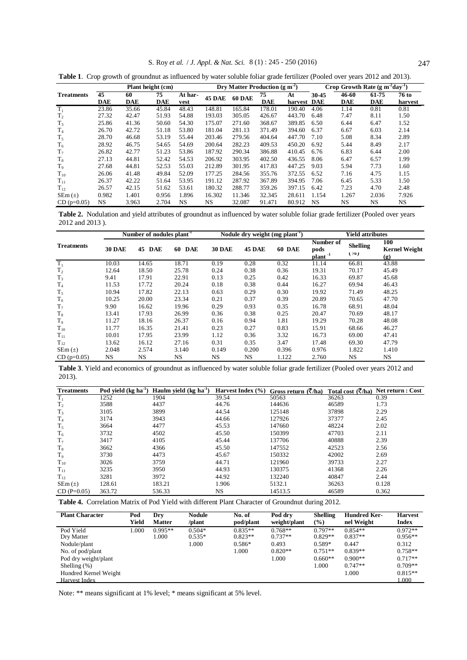|                   | Plant height (cm) |            |            |           | Dry Matter Production ( $g m-2$ ) |               |            |             | Crop Growth Rate $(g m^2day^1)$ |            |            |         |
|-------------------|-------------------|------------|------------|-----------|-----------------------------------|---------------|------------|-------------|---------------------------------|------------|------------|---------|
| <b>Treatments</b> | 45                | 60         | 75         | At har-   | <b>45 DAE</b>                     | <b>60 DAE</b> | 75         | At          | 30-45                           | 46-60      | 61-75      | 76 to   |
|                   | <b>DAE</b>        | <b>DAE</b> | <b>DAE</b> | vest      |                                   |               | <b>DAE</b> | harvest DAE |                                 | <b>DAE</b> | <b>DAE</b> | harvest |
| $T_1$             | 23.86             | 35.66      | 45.84      | 48.43     | 148.81                            | 165.84        | 178.01     | 190.40      | 4.06                            | 1.14       | 0.81       | 0.81    |
| T <sub>2</sub>    | 27.32             | 42.47      | 51.93      | 54.88     | 193.03                            | 305.05        | 426.67     | 443.70      | 6.48                            | 7.47       | 8.11       | 1.50    |
| $T_3$             | 25.86             | 41.36      | 50.60      | 54.30     | 175.07                            | 271.60        | 368.67     | 389.85      | 6.50                            | 6.44       | 6.47       | 1.52    |
| T <sub>4</sub>    | 26.70             | 42.72      | 51.18      | 53.80     | 181.04                            | 281.13        | 371.49     | 394.60      | 6.37                            | 6.67       | 6.03       | 2.14    |
| $T_5$             | 28.70             | 46.68      | 53.19      | 55.44     | 203.46                            | 279.56        | 404.64     | 447.70      | 7.10                            | 5.08       | 8.34       | 2.89    |
| $T_6$             | 28.92             | 46.75      | 54.65      | 54.69     | 200.64                            | 282.23        | 409.53     | 450.20      | 6.92                            | 5.44       | 8.49       | 2.17    |
| $T_7$             | 26.82             | 42.77      | 51.23      | 53.86     | 187.92                            | 290.34        | 386.88     | 410.45      | 6.76                            | 6.83       | 6.44       | 2.00    |
| $T_{8}$           | 27.13             | 44.81      | 52.42      | 54.53     | 206.92                            | 303.95        | 402.50     | 436.55      | 8.06                            | 6.47       | 6.57       | 1.99    |
| $T_{9}$           | 27.68             | 44.81      | 52.53      | 55.03     | 212.89                            | 301.95        | 417.83     | 447.25      | 9.03                            | 5.94       | 7.73       | 1.60    |
| $T_{10}$          | 26.06             | 41.48      | 49.84      | 52.09     | 177.25                            | 284.56        | 355.76     | 372.55      | 6.52                            | 7.16       | 4.75       | 1.15    |
| $T_{11}$          | 26.37             | 42.22      | 51.64      | 53.95     | 191.12                            | 287.92        | 367.89     | 394.95      | 7.06                            | 6.45       | 5.33       | 1.50    |
| $T_{12}$          | 26.57             | 42.15      | 51.62      | 53.61     | 180.32                            | 288.77        | 359.26     | 397.15      | 6.42                            | 7.23       | 4.70       | 2.48    |
| $SEm(\pm)$        | 0.982             | 1.401      | 0.956      | 1.896     | 16.302                            | 11.346        | 32.345     | 28.611      | 1.154                           | 1.267      | 2.036      | 7.926   |
| $CD (p=0.05)$     | NS                | 3.963      | 2.704      | <b>NS</b> | NS                                | 32.087        | 91.471     | 80.912      | <b>NS</b>                       | NS         | NS         | NS      |

**Table 1**. Crop growth of groundnut as influenced by water soluble foliar grade fertilizer (Pooled over years 2012 and 2013).

**Table 2.** Nodulation and yield attributes of groundnut as influenced by water soluble foliar grade fertilizer (Pooled over years 2012 and 2013 ).

|                   |               | Number of nodules plant <sup>-1</sup> |                  |               | Nodule dry weight $(mg~plant-1)$ |        |                                          | <b>Yield attributes</b> |                                                            |  |
|-------------------|---------------|---------------------------------------|------------------|---------------|----------------------------------|--------|------------------------------------------|-------------------------|------------------------------------------------------------|--|
| <b>Treatments</b> | <b>30 DAE</b> | 45<br><b>DAE</b>                      | 60<br><b>DAE</b> | <b>30 DAE</b> | <b>45 DAE</b>                    | 60 DAE | Number of<br>pods<br>plant <sup>-1</sup> | <b>Shelling</b><br>(70) | 100<br><b>Kernel Weight</b><br>$\left( \mathbf{g} \right)$ |  |
| $T_1$             | 10.03         | 14.65                                 | 18.71            | 0.19          | 0.28                             | 0.32   | 11.14                                    | 66.81                   | 43.88                                                      |  |
| T <sub>2</sub>    | 12.64         | 18.50                                 | 25.78            | 0.24          | 0.38                             | 0.36   | 19.31                                    | 70.17                   | 45.49                                                      |  |
| $T_3$             | 9.41          | 17.91                                 | 22.91            | 0.13          | 0.25                             | 0.42   | 16.33                                    | 69.87                   | 45.68                                                      |  |
| T <sub>4</sub>    | 11.53         | 17.72                                 | 20.24            | 0.18          | 0.38                             | 0.44   | 16.27                                    | 69.94                   | 46.43                                                      |  |
| $T_5$             | 10.94         | 17.82                                 | 22.13            | 0.63          | 0.29                             | 0.30   | 19.92                                    | 71.49                   | 48.25                                                      |  |
| $T_6$             | 10.25         | 20.00                                 | 23.34            | 0.21          | 0.37                             | 0.39   | 20.89                                    | 70.65                   | 47.70                                                      |  |
| $T_7$             | 9.90          | 16.62                                 | 19.96            | 0.29          | 0.93                             | 0.35   | 16.78                                    | 68.91                   | 48.04                                                      |  |
| $T_8$             | 13.41         | 17.93                                 | 26.99            | 0.36          | 0.38                             | 0.25   | 20.47                                    | 70.69                   | 48.17                                                      |  |
| T <sub>9</sub>    | 11.27         | 18.16                                 | 26.37            | 0.16          | 0.94                             | 1.81   | 19.29                                    | 70.28                   | 48.08                                                      |  |
| $T_{10}$          | 11.77         | 16.35                                 | 21.41            | 0.23          | 0.27                             | 0.83   | 15.91                                    | 68.66                   | 46.27                                                      |  |
| $T_{11}$          | 10.01         | 17.95                                 | 23.99            | 1.12          | 0.36                             | 3.32   | 16.73                                    | 69.00                   | 47.41                                                      |  |
| $T_{12}$          | 13.62         | 16.12                                 | 27.16            | 0.31          | 0.35                             | 3.47   | 17.48                                    | 69.30                   | 47.79                                                      |  |
| $SEm(\pm)$        | 2.048         | 2.574                                 | 3.140            | 0.149         | 0.200                            | 0.396  | 0.976                                    | 1.822                   | 1.410                                                      |  |
| $CD (p=0.05)$     | NS            | <b>NS</b>                             | NS.              | NS            | NS                               | 1.122  | 2.760                                    | NS                      | NS                                                         |  |

**Table 3**. Yield and economics of groundnut as influenced by water soluble foliar grade fertilizer (Pooled over years 2012 and 2013).

| <b>Treatments</b> | Pod yield $(kg ha-1)$ | Haulm yield $(kg ha-1)$ | Harvest Index $(\% )$ | Gross return $(\overline{\zeta}/h a)$ |       | Total cost $(\bar{\zeta}/h a)$ Net return : Cost |
|-------------------|-----------------------|-------------------------|-----------------------|---------------------------------------|-------|--------------------------------------------------|
| $T_1$             | 1252                  | 1904                    | 39.54                 | 50563                                 | 36263 | 0.39                                             |
| $T_{2}$           | 3588                  | 4437                    | 44.76                 | 144636                                | 46589 | 1.73                                             |
| $T_3$             | 3105                  | 3899                    | 44.54                 | 125148                                | 37898 | 2.29                                             |
| T <sub>4</sub>    | 3174                  | 3943                    | 44.66                 | 127926                                | 37377 | 2.45                                             |
| $T_5$             | 3664                  | 4477                    | 45.53                 | 147660                                | 48224 | 2.02                                             |
| $T_6$             | 3732                  | 4502                    | 45.50                 | 150399                                | 47703 | 2.11                                             |
| $T_7$             | 3417                  | 4105                    | 45.44                 | 137706                                | 40888 | 2.39                                             |
| $T_8$             | 3662                  | 4366                    | 45.50                 | 147552                                | 42523 | 2.56                                             |
| $T_{9}$           | 3730                  | 4473                    | 45.67                 | 150332                                | 42002 | 2.69                                             |
| $T_{10}$          | 3026                  | 3759                    | 44.71                 | 121960                                | 39733 | 2.27                                             |
| $T_{11}$          | 3235                  | 3950                    | 44.93                 | 130375                                | 41368 | 2.26                                             |
| $T_{12}$          | 3281                  | 3972                    | 44.92                 | 132240                                | 40847 | 2.44                                             |
| $SEm(\pm)$        | 128.61                | 183.21                  | 1.906                 | 5132.1                                | 36263 | 0.128                                            |
| $CD(P=0.05)$      | 363.72                | 536.33                  | NS                    | 14513.5                               | 46589 | 0.362                                            |

**Table 4.** Correlation Matrix of Pod Yield with different Plant Character of Groundnut during 2012.

| <b>Plant Character</b> | Pod   | Drv           | <b>Nodule</b> | No. of    | Pod drv      | <b>Shelling</b> | <b>Hundred Ker-</b> | <b>Harvest</b> |
|------------------------|-------|---------------|---------------|-----------|--------------|-----------------|---------------------|----------------|
|                        | Yield | <b>Matter</b> | /plant        | pod/plant | weight/plant | $(\%)$          | nel Weight          | Index          |
| Pod Yield              | 1.000 | $0.995**$     | $0.504*$      | $0.835**$ | $0.768**$    | $0.797**$       | $0.854**$           | $0.972**$      |
| Dry Matter             |       | 1.000         | $0.535*$      | $0.823**$ | $0.737**$    | $0.829**$       | $0.837**$           | $0.956**$      |
| Nodule/plant           |       |               | 1.000         | $0.586*$  | 0.493        | $0.589*$        | 0.447               | 0.312          |
| No. of pod/plant       |       |               |               | 1.000     | $0.820**$    | $0.751**$       | $0.839**$           | $0.758**$      |
| Pod dry weight/plant   |       |               |               |           | 1.000        | $0.660**$       | $0.900**$           | $0.717**$      |
| Shelling $(\%)$        |       |               |               |           |              | 1.000           | $0.747**$           | $0.709**$      |
| Hundred Kernel Weight  |       |               |               |           |              |                 | 1.000               | $0.815**$      |
| Harvest Index          |       |               |               |           |              |                 |                     | .000           |

Note: \*\* means significant at 1% level; \* means significant at 5% level.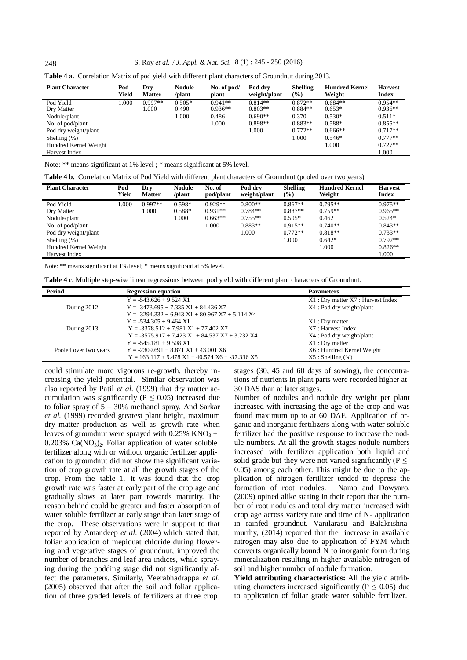## 248 S. Roy *et al.* / *J. Appl. & Nat. Sci.* 8 (1) : 245 - 250 (2016)

| Table 4 a. Correlation Matrix of pod yield with different plant characters of Groundnut during 2013. |  |  |  |
|------------------------------------------------------------------------------------------------------|--|--|--|
|------------------------------------------------------------------------------------------------------|--|--|--|

| <b>Plant Character</b> | Pod<br>Yield | Dry<br><b>Matter</b> | <b>Nodule</b><br>/plant | No. of pod/<br>plant | Pod drv<br>weight/plant | <b>Shelling</b><br>$(\%)$ | <b>Hundred Kernel</b><br>Weight | <b>Harvest</b><br><b>Index</b> |
|------------------------|--------------|----------------------|-------------------------|----------------------|-------------------------|---------------------------|---------------------------------|--------------------------------|
| Pod Yield              | 000.         | $0.997**$            | $0.505*$                | $0.941**$            | $0.814**$               | $0.872**$                 | $0.684**$                       | $0.954**$                      |
| Dry Matter             |              | .000                 | 0.490                   | $0.936**$            | $0.803**$               | $0.884**$                 | $0.653*$                        | $0.936**$                      |
| Nodule/plant           |              |                      | 1.000                   | 0.486                | $0.690**$               | 0.370                     | $0.530*$                        | $0.511*$                       |
| No. of pod/plant       |              |                      |                         | 1.000                | $0.898**$               | $0.883**$                 | $0.588*$                        | $0.855**$                      |
| Pod dry weight/plant   |              |                      |                         |                      | 1.000                   | $0.772**$                 | $0.666**$                       | $0.717**$                      |
| Shelling $(\%)$        |              |                      |                         |                      |                         | 1.000                     | $0.546*$                        | $0.777**$                      |
| Hundred Kernel Weight  |              |                      |                         |                      |                         |                           | 1.000                           | $0.727**$                      |
| Harvest Index          |              |                      |                         |                      |                         |                           |                                 | 1.000                          |

| Note: ** means significant at 1% level ; * means significant at 5% level. |  |
|---------------------------------------------------------------------------|--|
|---------------------------------------------------------------------------|--|

| Table 4 b. Correlation Matrix of Pod Yield with different plant characters of Groundnut (pooled over two years). |  |  |
|------------------------------------------------------------------------------------------------------------------|--|--|
|------------------------------------------------------------------------------------------------------------------|--|--|

| <b>Plant Character</b> | Pod<br>Yield | Dry<br><b>Matter</b> | <b>Nodule</b><br>/plant | No. of<br>pod/plant | Pod drv<br>weight/plant | <b>Shelling</b><br>$(\%)$ | <b>Hundred Kernel</b><br>Weight | <b>Harvest</b><br><b>Index</b> |
|------------------------|--------------|----------------------|-------------------------|---------------------|-------------------------|---------------------------|---------------------------------|--------------------------------|
| Pod Yield              | 1.000        | $0.997**$            | $0.598*$                | $0.929**$           | $0.800**$               | $0.867**$                 | $0.795**$                       | $0.975**$                      |
| Dry Matter             |              | .000                 | $0.588*$                | $0.931**$           | $0.784**$               | $0.887**$                 | $0.759**$                       | $0.965**$                      |
| Nodule/plant           |              |                      | 1.000                   | $0.663**$           | $0.755**$               | $0.505*$                  | 0.462                           | $0.524*$                       |
| No. of pod/plant       |              |                      |                         | 1.000               | $0.883**$               | $0.915**$                 | $0.740**$                       | $0.843**$                      |
| Pod dry weight/plant   |              |                      |                         |                     | 1.000                   | $0.772**$                 | $0.818**$                       | $0.733**$                      |
| Shelling $(\%)$        |              |                      |                         |                     |                         | 1.000                     | $0.642*$                        | $0.792**$                      |
| Hundred Kernel Weight  |              |                      |                         |                     |                         |                           | 1.000                           | $0.826**$                      |
| Harvest Index          |              |                      |                         |                     |                         |                           |                                 | .000                           |

Note: \*\* means significant at 1% level; \* means significant at 5% level.

|  |  |  |  | <b>Table 4 c.</b> Multiple step-wise linear regressions between pod vield with different plant characters of Groundnut. |
|--|--|--|--|-------------------------------------------------------------------------------------------------------------------------|
|--|--|--|--|-------------------------------------------------------------------------------------------------------------------------|

| Period                | <b>Regression equation</b>                        | <b>Parameters</b>                  |
|-----------------------|---------------------------------------------------|------------------------------------|
|                       | $Y = -543.626 + 9.524 \text{ X}$                  | X1 : Dry matter X7 : Harvest Index |
| During 2012           | $Y = -3473.695 + 7.335 X1 + 84.436 X7$            | X4 : Pod dry weight/plant          |
|                       | $Y = -3294.332 + 6.943 X1 + 80.967 X7 + 5.114 X4$ |                                    |
|                       | $Y = -534.305 + 9.464 \text{ X}$                  | $X1:$ Dry matter                   |
| During 2013           | $Y = -3378.512 + 7.981 X1 + 77.402 X7$            | X7 : Harvest Index                 |
|                       | $Y = -3575.917 + 7.423 X1 + 84.537 X7 + 3.232 X4$ | X4 : Pod dry weight/plant          |
|                       | $Y = -545.181 + 9.508 \text{ X}$                  | $X1:$ Dry matter                   |
| Pooled over two years | $Y = -2309.691 + 8.871 X1 + 43.001 X6$            | X6 : Hundred Kernel Weight         |
|                       | $Y = 163.117 + 9.478 X1 + 40.574 X6 + -37.336 X5$ | $X5:$ Shelling $(\%)$              |

could stimulate more vigorous re-growth, thereby increasing the yield potential. Similar observation was also reported by Patil *et al*. (1999) that dry matter accumulation was significantly ( $P \leq 0.05$ ) increased due to foliar spray of  $5 - 30\%$  methanol spray. And Sarkar *et al.* (1999) recorded greatest plant height, maximum dry matter production as well as growth rate when leaves of groundnut were sprayed with  $0.25\%$  KNO<sub>3</sub> +  $0.203\%$  Ca(NO<sub>3</sub>)<sub>2</sub>. Foliar application of water soluble fertilizer along with or without organic fertilizer application to groundnut did not show the significant variation of crop growth rate at all the growth stages of the crop. From the table 1, it was found that the crop growth rate was faster at early part of the crop age and gradually slows at later part towards maturity. The reason behind could be greater and faster absorption of water soluble fertilizer at early stage than later stage of the crop. These observations were in support to that reported by Amandeep *et al.* (2004) which stated that, foliar application of mepiquat chloride during flowering and vegetative stages of groundnut, improved the number of branches and leaf area indices, while spraying during the podding stage did not significantly affect the parameters. Similarly, Veerabhadrappa *et al*. (2005) observed that after the soil and foliar application of three graded levels of fertilizers at three crop

stages (30, 45 and 60 days of sowing), the concentrations of nutrients in plant parts were recorded higher at 30 DAS than at later stages.

Number of nodules and nodule dry weight per plant increased with increasing the age of the crop and was found maximum up to at 60 DAE. Application of organic and inorganic fertilizers along with water soluble fertilizer had the positive response to increase the nodule numbers. At all the growth stages nodule numbers increased with fertilizer application both liquid and solid grade but they were not varied significantly ( $P \leq$ 0.05) among each other. This might be due to the application of nitrogen fertilizer tended to depress the formation of root nodules. Namo and Dowyaro, (2009) opined alike stating in their report that the number of root nodules and total dry matter increased with crop age across variety rate and time of N- application in rainfed groundnut. Vanilarasu and Balakrishnamurthy, (2014) reported that the increase in available nitrogen may also due to application of FYM which converts organically bound N to inorganic form during mineralization resulting in higher available nitrogen of soil and higher number of nodule formation.

**Yield attributing characteristics:** All the yield attributing characters increased significantly ( $P \le 0.05$ ) due to application of foliar grade water soluble fertilizer.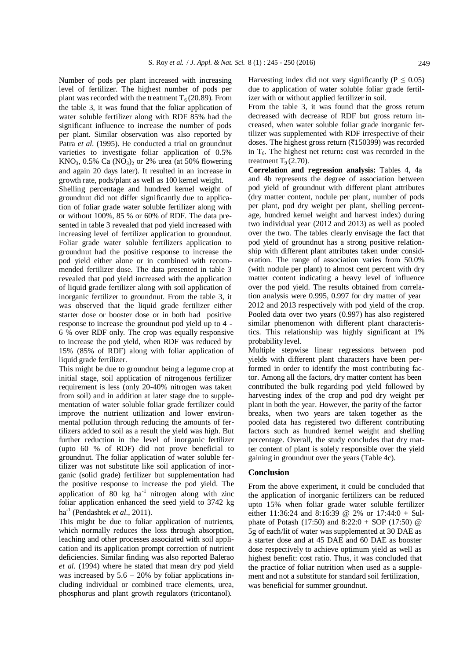Number of pods per plant increased with increasing level of fertilizer. The highest number of pods per plant was recorded with the treatment  $T_6$  (20.89). From the table 3, it was found that the foliar application of water soluble fertilizer along with RDF 85% had the significant influence to increase the number of pods per plant. Similar observation was also reported by Patra *et al*. (1995). He conducted a trial on groundnut varieties to investigate foliar application of 0.5%  $KNO<sub>3</sub>$ , 0.5% Ca  $(NO<sub>3</sub>)<sub>2</sub>$  or 2% urea (at 50% flowering and again 20 days later). It resulted in an increase in growth rate, pods/plant as well as 100 kernel weight.

Shelling percentage and hundred kernel weight of groundnut did not differ significantly due to application of foliar grade water soluble fertilizer along with or without 100%, 85 % or 60% of RDF. The data presented in table 3 revealed that pod yield increased with increasing level of fertilizer application to groundnut. Foliar grade water soluble fertilizers application to groundnut had the positive response to increase the pod yield either alone or in combined with recommended fertilizer dose. The data presented in table 3 revealed that pod yield increased with the application of liquid grade fertilizer along with soil application of inorganic fertilizer to groundnut. From the table 3, it was observed that the liquid grade fertilizer either starter dose or booster dose or in both had positive response to increase the groundnut pod yield up to 4 - 6 % over RDF only. The crop was equally responsive to increase the pod yield, when RDF was reduced by 15% (85% of RDF) along with foliar application of liquid grade fertilizer.

This might be due to groundnut being a legume crop at initial stage, soil application of nitrogenous fertilizer requirement is less (only 20-40% nitrogen was taken from soil) and in addition at later stage due to supplementation of water soluble foliar grade fertilizer could improve the nutrient utilization and lower environmental pollution through reducing the amounts of fertilizers added to soil as a result the yield was high. But further reduction in the level of inorganic fertilizer (upto 60 % of RDF) did not prove beneficial to groundnut. The foliar application of water soluble fertilizer was not substitute like soil application of inorganic (solid grade) fertilizer but supplementation had the positive response to increase the pod yield. The application of 80  $kg$  ha<sup>-1</sup> nitrogen along with zinc foliar application enhanced the seed yield to 3742 kg ha -1 (Pendashtek *et al.*, 2011).

This might be due to foliar application of nutrients, which normally reduces the loss through absorption, leaching and other processes associated with soil application and its application prompt correction of nutrient deficiencies. Similar finding was also reported Balerao *et al*. (1994) where he stated that mean dry pod yield was increased by  $5.6 - 20\%$  by foliar applications including individual or combined trace elements, urea, phosphorus and plant growth regulators (tricontanol).

Harvesting index did not vary significantly ( $P \le 0.05$ ) due to application of water soluble foliar grade fertilizer with or without applied fertilizer in soil.

From the table 3, it was found that the gross return decreased with decrease of RDF but gross return increased, when water soluble foliar grade inorganic fertilizer was supplemented with RDF irrespective of their doses. The highest gross return  $(7150399)$  was recorded in T6. The highest net return**:** cost was recorded in the treatment  $T<sub>9</sub> (2.70)$ .

**Correlation and regression analysis:** Tables 4, 4a and 4b represents the degree of association between pod yield of groundnut with different plant attributes (dry matter content, nodule per plant, number of pods per plant, pod dry weight per plant, shelling percentage, hundred kernel weight and harvest index) during two individual year (2012 and 2013) as well as pooled over the two. The tables clearly envisage the fact that pod yield of groundnut has a strong positive relationship with different plant attributes taken under consideration. The range of association varies from 50.0% (with nodule per plant) to almost cent percent with dry matter content indicating a heavy level of influence over the pod yield. The results obtained from correlation analysis were 0.995, 0.997 for dry matter of year 2012 and 2013 respectively with pod yield of the crop. Pooled data over two years (0.997) has also registered similar phenomenon with different plant characteristics. This relationship was highly significant at 1% probability level.

Multiple stepwise linear regressions between pod yields with different plant characters have been performed in order to identify the most contributing factor. Among all the factors, dry matter content has been contributed the bulk regarding pod yield followed by harvesting index of the crop and pod dry weight per plant in both the year. However, the parity of the factor breaks, when two years are taken together as the pooled data has registered two different contributing factors such as hundred kernel weight and shelling percentage. Overall, the study concludes that dry matter content of plant is solely responsible over the yield gaining in groundnut over the years (Table 4c).

#### **Conclusion**

From the above experiment, it could be concluded that the application of inorganic fertilizers can be reduced upto 15% when foliar grade water soluble fertilizer either 11:36:24 and 8:16:39 @ 2% or 17:44:0 + Sulphate of Potash (17:50) and  $8:22:0 + SOP (17:50)$  @ 5g of each/lit of water was supplemented at 30 DAE as a starter dose and at 45 DAE and 60 DAE as booster dose respectively to achieve optimum yield as well as highest benefit: cost ratio. Thus, it was concluded that the practice of foliar nutrition when used as a supplement and not a substitute for standard soil fertilization, was beneficial for summer groundnut.